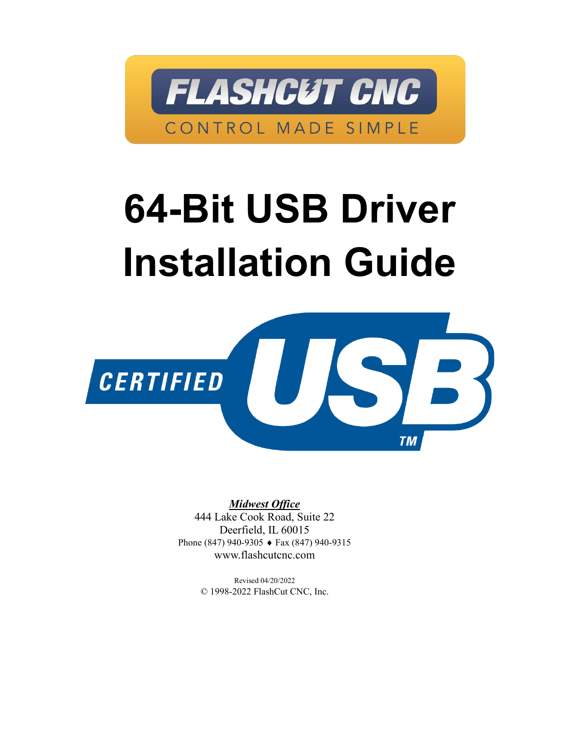

## **64-Bit USB Driver Installation Guide**



*Midwest Office* 444 Lake Cook Road, Suite 22 Deerfield, IL 60015 Phone (847) 940-9305 ♦ Fax (847) 940-9315 www.flashcutcnc.com

> Revised 04/20/2022 © 1998-2022 FlashCut CNC, Inc.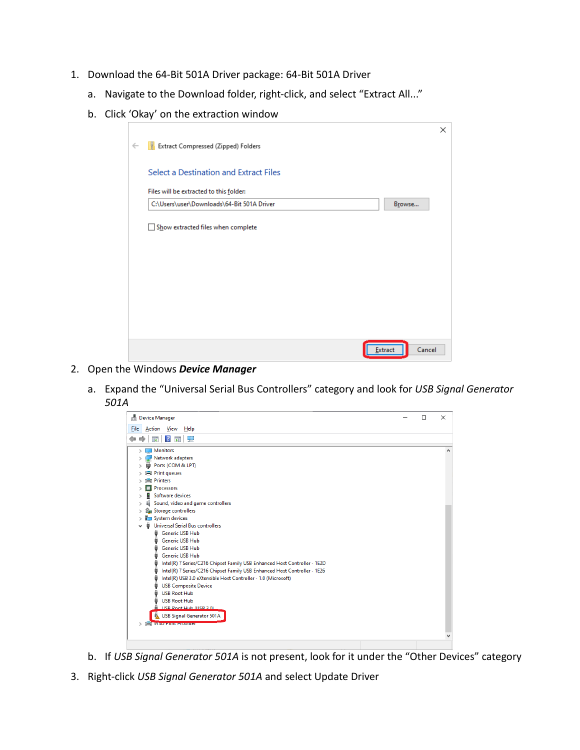- 1. Download the 64-Bit 501A Driver package: [64-Bit 501A Driver](https://wpifiles.egnyte.com/fl/kGKcAKfFeQ/USB_Driver_)
	- a. Navigate to the Download folder, right-click, and select "Extract All..."
	- b. Click 'Okay' on the extraction window

|              |                                            |                | $\times$ |  |
|--------------|--------------------------------------------|----------------|----------|--|
| $\leftarrow$ | <b>Extract Compressed (Zipped) Folders</b> |                |          |  |
|              | Select a Destination and Extract Files     |                |          |  |
|              | Files will be extracted to this folder:    |                |          |  |
|              | C:\Users\user\Downloads\64-Bit 501A Driver | Browse         |          |  |
|              | Show extracted files when complete         |                |          |  |
|              |                                            | <b>Extract</b> | Cancel   |  |

- 2. Open the Windows *Device Manager*
	- a. Expand the "Universal Serial Bus Controllers" category and look for *USB Signal Generator 501A*



- b. If *USB Signal Generator 501A* is not present, look for it under the "Other Devices" category
- 3. Right-click *USB Signal Generator 501A* and select Update Driver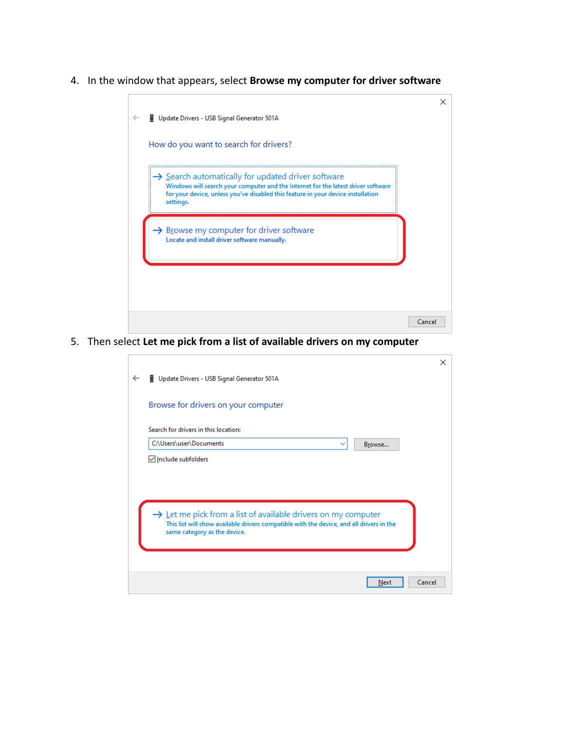4. In the window that appears, select **Browse my computer for driver software**



5. Then select **Let me pick from a list of available drivers on my computer**

|                                                                                                                          |                                                                           | $\times$ |  |  |  |
|--------------------------------------------------------------------------------------------------------------------------|---------------------------------------------------------------------------|----------|--|--|--|
| $\leftarrow$                                                                                                             | Update Drivers - USB Signal Generator 501A                                |          |  |  |  |
|                                                                                                                          | Browse for drivers on your computer                                       |          |  |  |  |
|                                                                                                                          | Search for drivers in this location:                                      |          |  |  |  |
|                                                                                                                          | C:\Users\user\Documents<br>Browse<br>$\checkmark$                         |          |  |  |  |
|                                                                                                                          | <b><del>○</del></b> Include subfolders                                    |          |  |  |  |
|                                                                                                                          |                                                                           |          |  |  |  |
|                                                                                                                          |                                                                           |          |  |  |  |
|                                                                                                                          |                                                                           |          |  |  |  |
|                                                                                                                          | $\rightarrow$ Let me pick from a list of available drivers on my computer |          |  |  |  |
| This list will show available drivers compatible with the device, and all drivers in the<br>same category as the device. |                                                                           |          |  |  |  |
|                                                                                                                          |                                                                           |          |  |  |  |
|                                                                                                                          |                                                                           |          |  |  |  |
|                                                                                                                          |                                                                           |          |  |  |  |
|                                                                                                                          |                                                                           |          |  |  |  |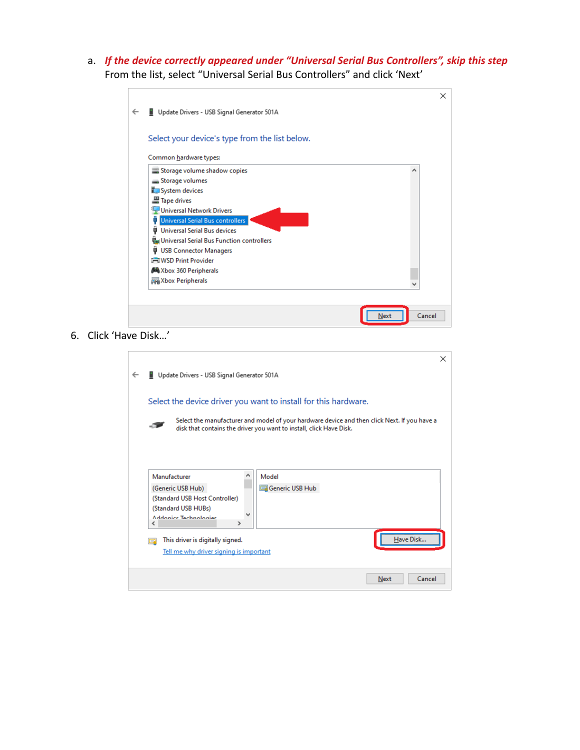a. *If the device correctly appeared under "Universal Serial Bus Controllers", skip this step* From the list, select "Universal Serial Bus Controllers" and click 'Next'

| Select your device's type from the list below. |   |
|------------------------------------------------|---|
| Common hardware types:                         |   |
| Storage volume shadow copies                   | ۸ |
| Storage volumes                                |   |
| System devices                                 |   |
| Tape drives                                    |   |
| <b>Universal Network Drivers</b>               |   |
| <b>Universal Serial Bus controllers</b>        |   |
| Universal Serial Bus devices<br>o              |   |
| Universal Serial Bus Function controllers      |   |
| <b>USB Connector Managers</b><br>۰             |   |
| <b>I-T WSD Print Provider</b>                  |   |
| Xbox 360 Peripherals                           |   |
| Xbox Peripherals                               |   |

6. Click 'Have Disk…'

|                                                                                          |                                                                                                                                                                     | × |  |  |  |
|------------------------------------------------------------------------------------------|---------------------------------------------------------------------------------------------------------------------------------------------------------------------|---|--|--|--|
|                                                                                          | Update Drivers - USB Signal Generator 501A                                                                                                                          |   |  |  |  |
|                                                                                          | Select the device driver you want to install for this hardware.                                                                                                     |   |  |  |  |
|                                                                                          | Select the manufacturer and model of your hardware device and then click Next. If you have a<br>disk that contains the driver you want to install, click Have Disk. |   |  |  |  |
|                                                                                          | Manufacturer<br>Model<br>Generic USB Hub<br>(Generic USB Hub)<br>(Standard USB Host Controller)<br>(Standard USB HUBs)<br>Addonics Technologies<br>∢<br>>           |   |  |  |  |
| Have Disk<br>This driver is digitally signed.<br>Tell me why driver signing is important |                                                                                                                                                                     |   |  |  |  |
|                                                                                          | Cancel<br>Next                                                                                                                                                      |   |  |  |  |